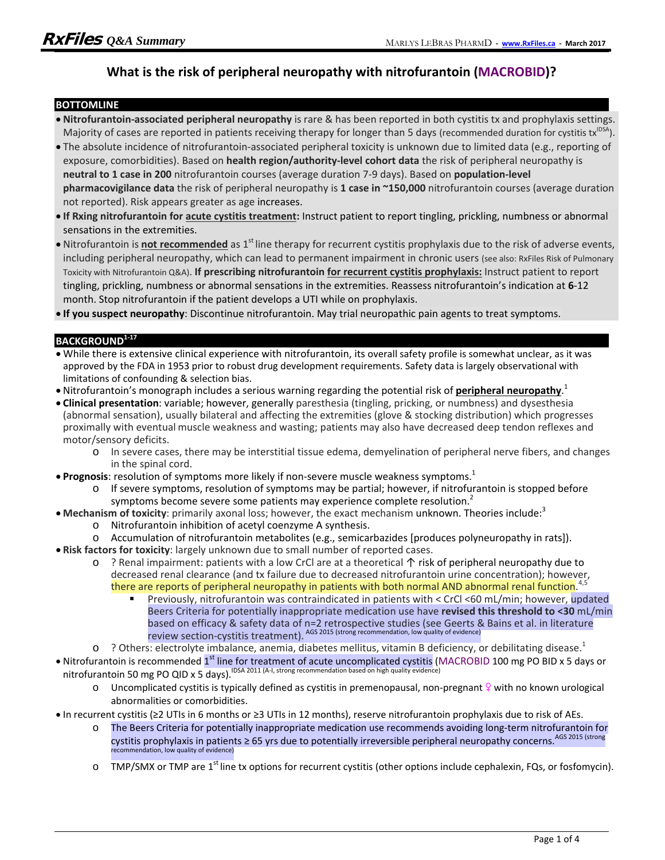## **What is the risk of peripheral neuropathy with nitrofurantoin (MACROBID)?**

#### **BOTTOMLINE**

- **Nitrofurantoin-associated peripheral neuropathy** is rare & has been reported in both cystitis tx and prophylaxis settings. Majority of cases are reported in patients receiving therapy for longer than 5 days (recommended duration for cystitis tx $^{1DSA}$ ).
- The absolute incidence of nitrofurantoin-associated peripheral toxicity is unknown due to limited data (e.g., reporting of exposure, comorbidities). Based on **health region/authority-level cohort data** the risk of peripheral neuropathy is **neutral to 1 case in 200** nitrofurantoin courses (average duration 7-9 days). Based on **population-level pharmacovigilance data** the risk of peripheral neuropathy is **1 case in ~150,000** nitrofurantoin courses (average duration not reported). Risk appears greater as age increases.
- **If Rxing nitrofurantoin for acute cystitis treatment:** Instruct patient to report tingling, prickling, numbness or abnormal sensations in the extremities.
- Nitrofurantoin is *not recommended* as 1<sup>st</sup> line therapy for recurrent cystitis prophylaxis due to the risk of adverse events, including peripheral neuropathy, which can lead to permanent impairment in chronic users (see also: RxFiles Risk of Pulmonary Toxicity with Nitrofurantoin Q&A). **If prescribing nitrofurantoin for recurrent cystitis prophylaxis:** Instruct patient to report tingling, prickling, numbness or abnormal sensations in the extremities. Reassess nitrofurantoin's indication at **6**-12 month. Stop nitrofurantoin if the patient develops a UTI while on prophylaxis.

**If you suspect neuropathy**: Discontinue nitrofurantoin. May trial neuropathic pain agents to treat symptoms.

#### **BACKGROUND1-17**

- While there is extensive clinical experience with nitrofurantoin, its overall safety profile is somewhat unclear, as it was approved by the FDA in 1953 prior to robust drug development requirements. Safety data is largely observational with limitations of confounding & selection bias.
- Nitrofurantoin's monograph includes a serious warning regarding the potential risk of **peripheral neuropathy**. 1
- **Clinical presentation**: variable; however, generally paresthesia (tingling, pricking, or numbness) and dysesthesia (abnormal sensation), usually bilateral and affecting the extremities (glove & stocking distribution) which progresses proximally with eventual muscle weakness and wasting; patients may also have decreased deep tendon reflexes and motor/sensory deficits.
	- o In severe cases, there may be interstitial tissue edema, demyelination of peripheral nerve fibers, and changes in the spinal cord.
- **Prognosis**: resolution of symptoms more likely if non-severe muscle weakness symptoms.<sup>1</sup>
	- o If severe symptoms, resolution of symptoms may be partial; however, if nitrofurantoin is stopped before symptoms become severe some patients may experience complete resolution.<sup>2</sup>
- **Mechanism of toxicity**: primarily axonal loss; however, the exact mechanism unknown. Theories include:<sup>3</sup>
	- o Nitrofurantoin inhibition of acetyl coenzyme A synthesis.
	- o Accumulation of nitrofurantoin metabolites (e.g., semicarbazides [produces polyneuropathy in rats]).
- **Risk factors for toxicity**: largely unknown due to small number of reported cases.
	- o ? Renal impairment: patients with a low CrCl are at a theoretical ↑ risk of peripheral neuropathy due to decreased renal clearance (and tx failure due to decreased nitrofurantoin urine concentration); however, there are reports of peripheral neuropathy in patients with both normal AND abnormal renal function.<sup>4,5</sup>
		- Previously, nitrofurantoin was contraindicated in patients with < CrCl <60 mL/min; however, updated Beers Criteria for potentially inappropriate medication use have **revised this threshold to <30** mL/min based on efficacy & safety data of n=2 retrospective studies (see Geerts & Bains et al. in literature review section-cystitis treatment). AGS 2015 (strong recommendation, low quality of evidence)
	- $\circ$  ? Others: electrolyte imbalance, anemia, diabetes mellitus, vitamin B deficiency, or debilitating disease.<sup>1</sup>
- Nitrofurantoin is recommended 1<sup>st</sup> line for treatment of acute uncomplicated cystitis (MACROBID 100 mg PO BID x 5 days or nitrofurantoin 50 mg PO QID x 5 days).<sup>IDSA 2011</sup> (A-I, strong recommendation based on high quality evidence)
	- $\circ$  Uncomplicated cystitis is typically defined as cystitis in premenopausal, non-pregnant  $\frac{1}{2}$  with no known urological abnormalities or comorbidities.
- In recurrent cystitis (≥2 UTIs in 6 months or ≥3 UTIs in 12 months), reserve nitrofurantoin prophylaxis due to risk of AEs.
	- o The Beers Criteria for potentially inappropriate medication use recommends avoiding long-term nitrofurantoin for cystitis prophylaxis in patients ≥ 65 yrs due to potentially irreversible peripheral neuropathy concerns. AGS 2015 (strong recommendation, low quality of evidence)
	- $\circ$  TMP/SMX or TMP are 1<sup>st</sup> line tx options for recurrent cystitis (other options include cephalexin, FQs, or fosfomycin).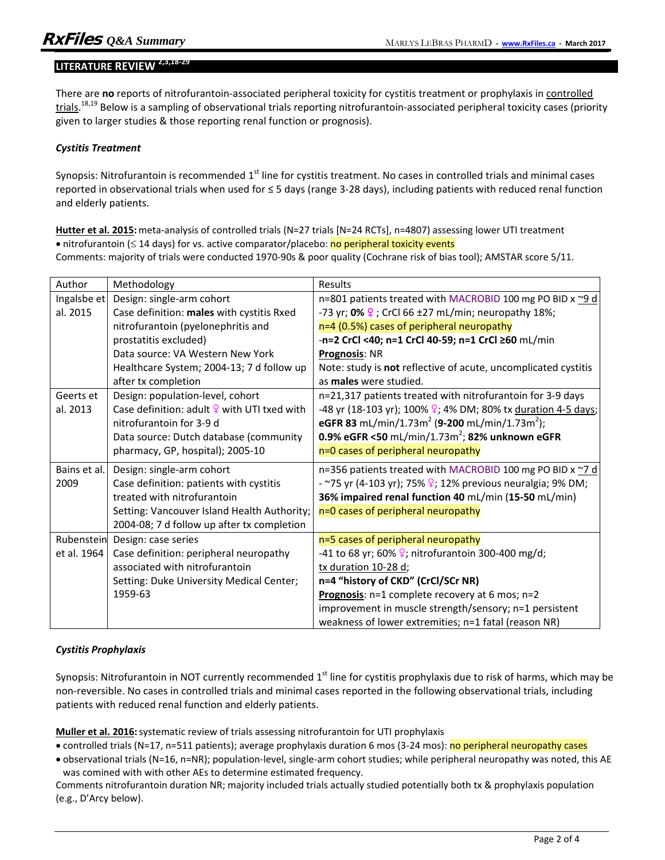# **LITERATURE REVIEW 2,3,18-29280E2VIEW**

There are **no** reports of nitrofurantoin-associated peripheral toxicity for cystitis treatment or prophylaxis in controlled trials.<sup>18,19</sup> Below is a sampling of observational trials reporting nitrofurantoin-associated peripheral toxicity cases (priority given to larger studies & those reporting renal function or prognosis).

#### *Cystitis Treatment*

Synopsis: Nitrofurantoin is recommended  $1<sup>st</sup>$  line for cystitis treatment. No cases in controlled trials and minimal cases reported in observational trials when used for ≤ 5 days (range 3-28 days), including patients with reduced renal function and elderly patients.

**Hutter et al. 2015:** meta-analysis of controlled trials (N=27 trials [N=24 RCTs], n=4807) assessing lower UTI treatment  $\bullet$  nitrofurantoin ( $\leq$  14 days) for vs. active comparator/placebo: no peripheral toxicity events Comments: majority of trials were conducted 1970-90s & poor quality (Cochrane risk of bias tool); AMSTAR score 5/11.

| Author       | Methodology                                             | Results                                                                   |
|--------------|---------------------------------------------------------|---------------------------------------------------------------------------|
| Ingalsbe et  | Design: single-arm cohort                               | n=801 patients treated with MACROBID 100 mg PO BID x ~9 d                 |
| al. 2015     | Case definition: males with cystitis Rxed               | -73 yr; 0% $9$ ; CrCl 66 ±27 mL/min; neuropathy 18%;                      |
|              | nitrofurantoin (pyelonephritis and                      | n=4 (0.5%) cases of peripheral neuropathy                                 |
|              | prostatitis excluded)                                   | -n=2 CrCl <40; n=1 CrCl 40-59; n=1 CrCl ≥60 mL/min                        |
|              | Data source: VA Western New York                        | Prognosis: NR                                                             |
|              | Healthcare System; 2004-13; 7 d follow up               | Note: study is not reflective of acute, uncomplicated cystitis            |
|              | after tx completion                                     | as males were studied.                                                    |
| Geerts et    | Design: population-level, cohort                        | n=21,317 patients treated with nitrofurantoin for 3-9 days                |
| al. 2013     | Case definition: adult $\frac{1}{2}$ with UTI txed with | -48 yr (18-103 yr); 100% $\frac{9}{2}$ ; 4% DM; 80% tx duration 4-5 days; |
|              | nitrofurantoin for 3-9 d                                | eGFR 83 mL/min/1.73m <sup>2</sup> (9-200 mL/min/1.73m <sup>2</sup> );     |
|              | Data source: Dutch database (community                  | 0.9% eGFR <50 mL/min/1.73m <sup>2</sup> ; 82% unknown eGFR                |
|              | pharmacy, GP, hospital); 2005-10                        | n=0 cases of peripheral neuropathy                                        |
| Bains et al. | Design: single-arm cohort                               | n=356 patients treated with MACROBID 100 mg PO BID x ~7 d                 |
| 2009         | Case definition: patients with cystitis                 | - ~75 yr (4-103 yr); 75% $\frac{9}{2}$ ; 12% previous neuralgia; 9% DM;   |
|              | treated with nitrofurantoin                             | 36% impaired renal function 40 mL/min (15-50 mL/min)                      |
|              | Setting: Vancouver Island Health Authority;             | n=0 cases of peripheral neuropathy                                        |
|              | 2004-08; 7 d follow up after tx completion              |                                                                           |
| Rubenstein   | Design: case series                                     | n=5 cases of peripheral neuropathy                                        |
| et al. 1964  | Case definition: peripheral neuropathy                  | -41 to 68 yr; 60% $\frac{1}{2}$ ; nitrofurantoin 300-400 mg/d;            |
|              | associated with nitrofurantoin                          | tx duration 10-28 d;                                                      |
|              | Setting: Duke University Medical Center;                | n=4 "history of CKD" (CrCl/SCr NR)                                        |
|              | 1959-63                                                 | Prognosis: n=1 complete recovery at 6 mos; n=2                            |
|              |                                                         | improvement in muscle strength/sensory; n=1 persistent                    |
|              |                                                         | weakness of lower extremities; n=1 fatal (reason NR)                      |

#### *Cystitis Prophylaxis*

Synopsis: Nitrofurantoin in NOT currently recommended  $1<sup>st</sup>$  line for cystitis prophylaxis due to risk of harms, which may be non-reversible. No cases in controlled trials and minimal cases reported in the following observational trials, including patients with reduced renal function and elderly patients.

**Muller et al. 2016:**systematic review of trials assessing nitrofurantoin for UTI prophylaxis

- controlled trials (N=17, n=511 patients); average prophylaxis duration 6 mos (3-24 mos): no peripheral neuropathy cases
- observational trials (N=16, n=NR); population-level, single-arm cohort studies; while peripheral neuropathy was noted, this AE was comined with with other AEs to determine estimated frequency.

Comments nitrofurantoin duration NR; majority included trials actually studied potentially both tx & prophylaxis population (e.g., D'Arcy below).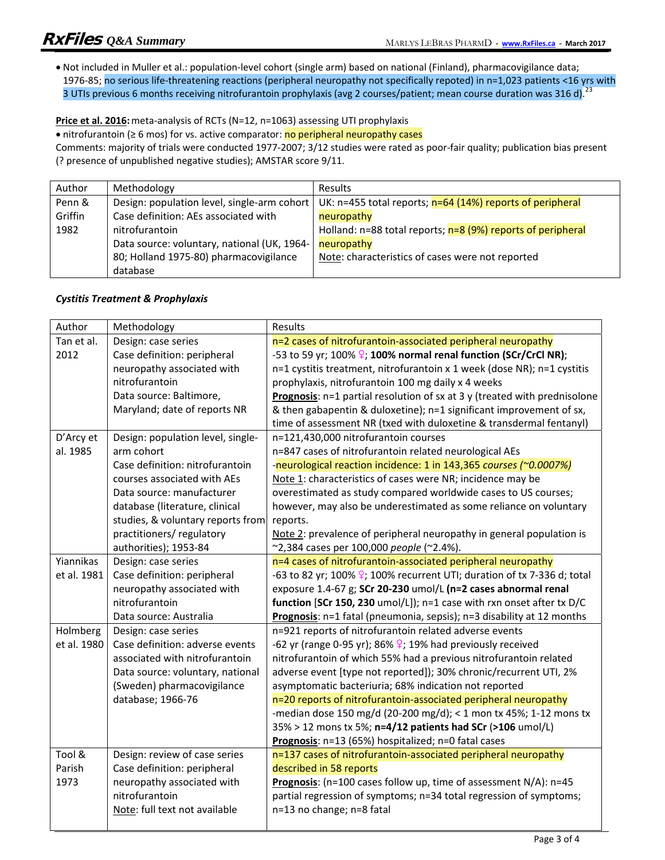Not included in Muller et al.: population-level cohort (single arm) based on national (Finland), pharmacovigilance data; 1976-85; no serious life-threatening reactions (peripheral neuropathy not specifically repoted) in n=1,023 patients <16 yrs with 3 UTIs previous 6 months receiving nitrofurantoin prophylaxis (avg 2 courses/patient; mean course duration was 316 d).<sup>23</sup>

**Price et al. 2016:** meta-analysis of RCTs (N=12, n=1063) assessing UTI prophylaxis

• nitrofurantoin ( $\geq 6$  mos) for vs. active comparator: no peripheral neuropathy cases

Comments: majority of trials were conducted 1977-2007; 3/12 studies were rated as poor-fair quality; publication bias present (? presence of unpublished negative studies); AMSTAR score 9/11.

| Author  | Methodology                                 | <b>Results</b>                                                  |
|---------|---------------------------------------------|-----------------------------------------------------------------|
| Penn &  | Design: population level, single-arm cohort | UK: n=455 total reports; n=64 (14%) reports of peripheral       |
| Griffin | Case definition: AEs associated with        | neuropathy                                                      |
| 1982    | nitrofurantoin                              | Holland: $n=88$ total reports; $n=8$ (9%) reports of peripheral |
|         | Data source: voluntary, national (UK, 1964- | neuropathy                                                      |
|         | 80; Holland 1975-80) pharmacovigilance      | Note: characteristics of cases were not reported                |
|         | database                                    |                                                                 |

### *Cystitis Treatment & Prophylaxis*

| Author      | Methodology                       | Results                                                                              |
|-------------|-----------------------------------|--------------------------------------------------------------------------------------|
| Tan et al.  | Design: case series               | n=2 cases of nitrofurantoin-associated peripheral neuropathy                         |
| 2012        | Case definition: peripheral       | -53 to 59 yr; 100% $\frac{1}{2}$ ; 100% normal renal function (SCr/CrCl NR);         |
|             | neuropathy associated with        | n=1 cystitis treatment, nitrofurantoin x 1 week (dose NR); n=1 cystitis              |
|             | nitrofurantoin                    | prophylaxis, nitrofurantoin 100 mg daily x 4 weeks                                   |
|             | Data source: Baltimore,           | Prognosis: n=1 partial resolution of sx at 3 y (treated with prednisolone            |
|             | Maryland; date of reports NR      | & then gabapentin & duloxetine); n=1 significant improvement of sx,                  |
|             |                                   | time of assessment NR (txed with duloxetine & transdermal fentanyl)                  |
| D'Arcy et   | Design: population level, single- | n=121,430,000 nitrofurantoin courses                                                 |
| al. 1985    | arm cohort                        | n=847 cases of nitrofurantoin related neurological AEs                               |
|             | Case definition: nitrofurantoin   | -neurological reaction incidence: 1 in 143,365 courses (~0.0007%)                    |
|             | courses associated with AEs       | Note 1: characteristics of cases were NR; incidence may be                           |
|             | Data source: manufacturer         | overestimated as study compared worldwide cases to US courses;                       |
|             | database (literature, clinical    | however, may also be underestimated as some reliance on voluntary                    |
|             | studies, & voluntary reports from | reports.                                                                             |
|             | practitioners/regulatory          | Note 2: prevalence of peripheral neuropathy in general population is                 |
|             | authorities); 1953-84             | ~2,384 cases per 100,000 people (~2.4%).                                             |
| Yiannikas   | Design: case series               | n=4 cases of nitrofurantoin-associated peripheral neuropathy                         |
| et al. 1981 | Case definition: peripheral       | -63 to 82 yr; 100% $\frac{9}{5}$ ; 100% recurrent UTI; duration of tx 7-336 d; total |
|             | neuropathy associated with        | exposure 1.4-67 g; SCr 20-230 umol/L (n=2 cases abnormal renal                       |
|             | nitrofurantoin                    | function [SCr 150, 230 umol/L]); n=1 case with rxn onset after tx D/C                |
|             | Data source: Australia            | Prognosis: n=1 fatal (pneumonia, sepsis); n=3 disability at 12 months                |
| Holmberg    | Design: case series               | n=921 reports of nitrofurantoin related adverse events                               |
| et al. 1980 | Case definition: adverse events   | -62 yr (range 0-95 yr); 86% $\frac{1}{2}$ ; 19% had previously received              |
|             | associated with nitrofurantoin    | nitrofurantoin of which 55% had a previous nitrofurantoin related                    |
|             | Data source: voluntary, national  | adverse event [type not reported]); 30% chronic/recurrent UTI, 2%                    |
|             | (Sweden) pharmacovigilance        | asymptomatic bacteriuria; 68% indication not reported                                |
|             | database; 1966-76                 | n=20 reports of nitrofurantoin-associated peripheral neuropathy                      |
|             |                                   | -median dose 150 mg/d (20-200 mg/d); < 1 mon tx 45%; 1-12 mons tx                    |
|             |                                   | 35% > 12 mons tx 5%; n=4/12 patients had SCr (>106 umol/L)                           |
|             |                                   | Prognosis: n=13 (65%) hospitalized; n=0 fatal cases                                  |
| Tool &      | Design: review of case series     | n=137 cases of nitrofurantoin-associated peripheral neuropathy                       |
| Parish      | Case definition: peripheral       | described in 58 reports                                                              |
| 1973        | neuropathy associated with        | Prognosis: (n=100 cases follow up, time of assessment N/A): n=45                     |
|             | nitrofurantoin                    | partial regression of symptoms; n=34 total regression of symptoms;                   |
|             | Note: full text not available     | n=13 no change; n=8 fatal                                                            |
|             |                                   |                                                                                      |